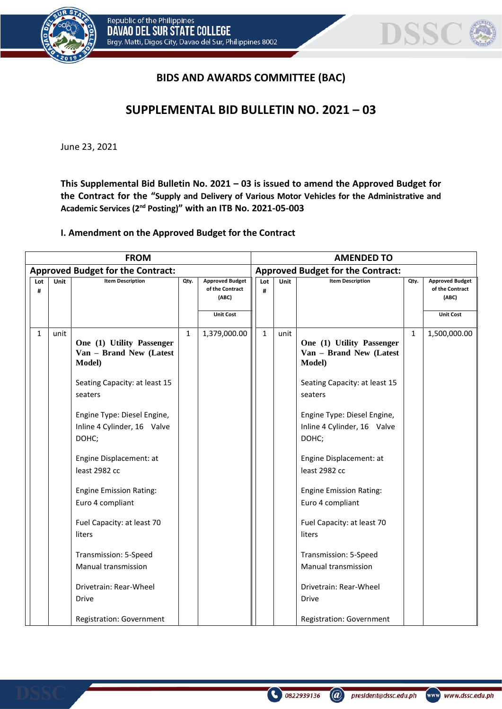



## **BIDS AND AWARDS COMMITTEE (BAC)**

## **SUPPLEMENTAL BID BULLETIN NO. 2021 – 03**

June 23, 2021

**This Supplemental Bid Bulletin No. 2021 – 03 is issued to amend the Approved Budget for the Contract for the "Supply and Delivery of Various Motor Vehicles for the Administrative and Academic Services (2nd Posting)" with an ITB No. 2021-05-003**

## **I. Amendment on the Approved Budget for the Contract**

| <b>FROM</b>                              |             |                                                                     |              |                                                    |              |                                          | <b>AMENDED TO</b> |                                                                        |              |                                                    |  |
|------------------------------------------|-------------|---------------------------------------------------------------------|--------------|----------------------------------------------------|--------------|------------------------------------------|-------------------|------------------------------------------------------------------------|--------------|----------------------------------------------------|--|
| <b>Approved Budget for the Contract:</b> |             |                                                                     |              |                                                    |              | <b>Approved Budget for the Contract:</b> |                   |                                                                        |              |                                                    |  |
| Lot<br>#                                 | <b>Unit</b> | <b>Item Description</b>                                             | Qty.         | <b>Approved Budget</b><br>of the Contract<br>(ABC) | Lot<br>#     |                                          | Unit              | <b>Item Description</b>                                                | Qty.         | <b>Approved Budget</b><br>of the Contract<br>(ABC) |  |
|                                          |             |                                                                     |              | <b>Unit Cost</b>                                   |              |                                          |                   |                                                                        |              | <b>Unit Cost</b>                                   |  |
| $\mathbf{1}$                             | unit        | One (1) Utility Passenger<br>Van - Brand New (Latest<br>Model)      | $\mathbf{1}$ | 1,379,000.00                                       | $\mathbf{1}$ |                                          | unit              | One (1) Utility Passenger<br>Van - Brand New (Latest<br><b>Model</b> ) | $\mathbf{1}$ | 1,500,000.00                                       |  |
|                                          |             | Seating Capacity: at least 15<br>seaters                            |              |                                                    |              |                                          |                   | Seating Capacity: at least 15<br>seaters                               |              |                                                    |  |
|                                          |             | Engine Type: Diesel Engine,<br>Inline 4 Cylinder, 16 Valve<br>DOHC; |              |                                                    |              |                                          |                   | Engine Type: Diesel Engine,<br>Inline 4 Cylinder, 16 Valve<br>DOHC;    |              |                                                    |  |
|                                          |             | Engine Displacement: at<br>least 2982 cc                            |              |                                                    |              |                                          |                   | Engine Displacement: at<br>least 2982 cc                               |              |                                                    |  |
|                                          |             | <b>Engine Emission Rating:</b><br>Euro 4 compliant                  |              |                                                    |              |                                          |                   | <b>Engine Emission Rating:</b><br>Euro 4 compliant                     |              |                                                    |  |
|                                          |             | Fuel Capacity: at least 70<br>liters                                |              |                                                    |              |                                          |                   | Fuel Capacity: at least 70<br>liters                                   |              |                                                    |  |
|                                          |             | Transmission: 5-Speed<br>Manual transmission                        |              |                                                    |              |                                          |                   | Transmission: 5-Speed<br>Manual transmission                           |              |                                                    |  |
|                                          |             | Drivetrain: Rear-Wheel<br>Drive                                     |              |                                                    |              |                                          |                   | Drivetrain: Rear-Wheel<br>Drive                                        |              |                                                    |  |
|                                          |             | Registration: Government                                            |              |                                                    |              |                                          |                   | Registration: Government                                               |              |                                                    |  |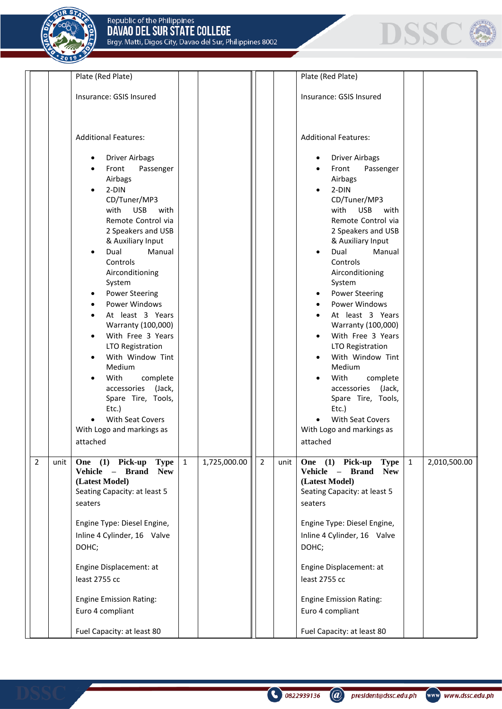$201$ 



|                        | Plate (Red Plate)                                                                                                                                                                                                                                                                                                                                                                                                                                                                                                                                                                                  |                              |                        | Plate (Red Plate)                                                                                                                                                                                                                                                                                                                                                                                                                                                                                                                                                                                                                                                                           |                              |
|------------------------|----------------------------------------------------------------------------------------------------------------------------------------------------------------------------------------------------------------------------------------------------------------------------------------------------------------------------------------------------------------------------------------------------------------------------------------------------------------------------------------------------------------------------------------------------------------------------------------------------|------------------------------|------------------------|---------------------------------------------------------------------------------------------------------------------------------------------------------------------------------------------------------------------------------------------------------------------------------------------------------------------------------------------------------------------------------------------------------------------------------------------------------------------------------------------------------------------------------------------------------------------------------------------------------------------------------------------------------------------------------------------|------------------------------|
|                        | Insurance: GSIS Insured                                                                                                                                                                                                                                                                                                                                                                                                                                                                                                                                                                            |                              |                        | Insurance: GSIS Insured                                                                                                                                                                                                                                                                                                                                                                                                                                                                                                                                                                                                                                                                     |                              |
|                        | <b>Additional Features:</b><br><b>Driver Airbags</b><br>Front<br>Passenger<br>Airbags<br>$2-DIN$<br>$\bullet$<br>CD/Tuner/MP3<br>with<br><b>USB</b><br>with<br>Remote Control via<br>2 Speakers and USB<br>& Auxiliary Input<br>Dual<br>Manual<br>Controls<br>Airconditioning<br>System<br><b>Power Steering</b><br><b>Power Windows</b><br>At least 3 Years<br>Warranty (100,000)<br>With Free 3 Years<br>LTO Registration<br>With Window Tint<br>Medium<br>With<br>complete<br>(Jack,<br>accessories<br>Spare Tire, Tools,<br>Etc.)<br>With Seat Covers<br>With Logo and markings as<br>attached |                              |                        | <b>Additional Features:</b><br><b>Driver Airbags</b><br>$\bullet$<br>Front<br>Passenger<br>$\bullet$<br>Airbags<br>2-DIN<br>$\bullet$<br>CD/Tuner/MP3<br><b>USB</b><br>with<br>with<br>Remote Control via<br>2 Speakers and USB<br>& Auxiliary Input<br>Dual<br>Manual<br>$\bullet$<br>Controls<br>Airconditioning<br>System<br><b>Power Steering</b><br>$\bullet$<br><b>Power Windows</b><br>At least 3 Years<br>Warranty (100,000)<br>With Free 3 Years<br>$\bullet$<br>LTO Registration<br>With Window Tint<br>$\bullet$<br>Medium<br>With<br>complete<br>$\bullet$<br>(Jack,<br>accessories<br>Spare Tire, Tools,<br>Etc.)<br>With Seat Covers<br>With Logo and markings as<br>attached |                              |
| $\overline{2}$<br>unit | One (1) Pick-up<br><b>Type</b><br>Vehicle<br>- Brand<br><b>New</b><br>(Latest Model)<br>Seating Capacity: at least 5<br>seaters<br>Engine Type: Diesel Engine,<br>Inline 4 Cylinder, 16 Valve<br>DOHC;<br>Engine Displacement: at<br>least 2755 cc<br><b>Engine Emission Rating:</b><br>Euro 4 compliant<br>Fuel Capacity: at least 80                                                                                                                                                                                                                                                             | $\mathbf{1}$<br>1,725,000.00 | $\overline{2}$<br>unit | One (1) Pick-up<br><b>Type</b><br>Vehicle - Brand<br><b>New</b><br>(Latest Model)<br>Seating Capacity: at least 5<br>seaters<br>Engine Type: Diesel Engine,<br>Inline 4 Cylinder, 16 Valve<br>DOHC;<br>Engine Displacement: at<br>least 2755 cc<br><b>Engine Emission Rating:</b><br>Euro 4 compliant<br>Fuel Capacity: at least 80                                                                                                                                                                                                                                                                                                                                                         | $\mathbf{1}$<br>2,010,500.00 |

@ president@dssc.edu.ph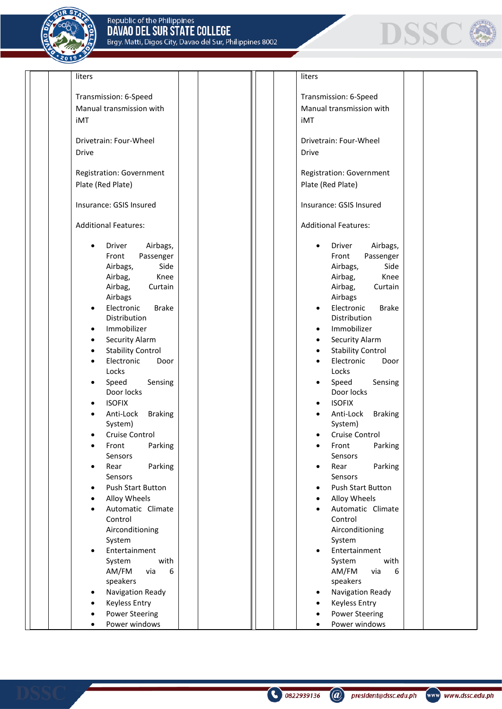



| liters                      |  | liters                                |  |
|-----------------------------|--|---------------------------------------|--|
| Transmission: 6-Speed       |  | Transmission: 6-Speed                 |  |
|                             |  |                                       |  |
| Manual transmission with    |  | Manual transmission with              |  |
| iMT                         |  | iMT                                   |  |
| Drivetrain: Four-Wheel      |  | Drivetrain: Four-Wheel                |  |
| <b>Drive</b>                |  | <b>Drive</b>                          |  |
|                             |  |                                       |  |
| Registration: Government    |  | Registration: Government              |  |
| Plate (Red Plate)           |  | Plate (Red Plate)                     |  |
|                             |  |                                       |  |
| Insurance: GSIS Insured     |  | Insurance: GSIS Insured               |  |
| <b>Additional Features:</b> |  | <b>Additional Features:</b>           |  |
|                             |  |                                       |  |
| Driver<br>Airbags,          |  | Driver<br>Airbags,<br>$\bullet$       |  |
| Passenger<br>Front          |  | Front<br>Passenger                    |  |
| Side<br>Airbags,            |  | Airbags,<br>Side                      |  |
| Knee<br>Airbag,             |  | Airbag,<br>Knee                       |  |
| Airbag,<br>Curtain          |  | Airbag,<br>Curtain                    |  |
| Airbags                     |  | Airbags                               |  |
| Electronic<br><b>Brake</b>  |  | Electronic<br><b>Brake</b>            |  |
| Distribution                |  | Distribution                          |  |
| Immobilizer                 |  | Immobilizer                           |  |
| Security Alarm<br>٠         |  | Security Alarm<br>$\bullet$           |  |
| <b>Stability Control</b>    |  | <b>Stability Control</b>              |  |
| Electronic<br>Door          |  | Electronic<br>Door                    |  |
| Locks                       |  | Locks                                 |  |
| Speed<br>Sensing            |  | Speed<br>Sensing                      |  |
| Door locks                  |  | Door locks                            |  |
| <b>ISOFIX</b>               |  | <b>ISOFIX</b>                         |  |
| Anti-Lock<br><b>Braking</b> |  | Anti-Lock<br><b>Braking</b>           |  |
| System)                     |  | System)                               |  |
| Cruise Control              |  | Cruise Control                        |  |
| Front<br>Parking            |  | Front<br>Parking                      |  |
| Sensors                     |  | Sensors                               |  |
| Parking<br>Rear             |  | Parking<br>Rear                       |  |
| Sensors                     |  | Sensors                               |  |
| <b>Push Start Button</b>    |  | <b>Push Start Button</b><br>$\bullet$ |  |
| Alloy Wheels                |  | Alloy Wheels<br>$\bullet$             |  |
| Automatic Climate           |  | Automatic Climate                     |  |
| Control                     |  | Control                               |  |
| Airconditioning             |  | Airconditioning                       |  |
| System                      |  | System                                |  |
| Entertainment<br>$\bullet$  |  | Entertainment                         |  |
| with<br>System              |  | System<br>with                        |  |
| AM/FM<br>via<br>6           |  | AM/FM<br>via<br>6                     |  |
| speakers                    |  | speakers                              |  |
| Navigation Ready            |  | Navigation Ready                      |  |
| <b>Keyless Entry</b>        |  | <b>Keyless Entry</b>                  |  |
| <b>Power Steering</b>       |  | <b>Power Steering</b>                 |  |
| Power windows               |  | Power windows                         |  |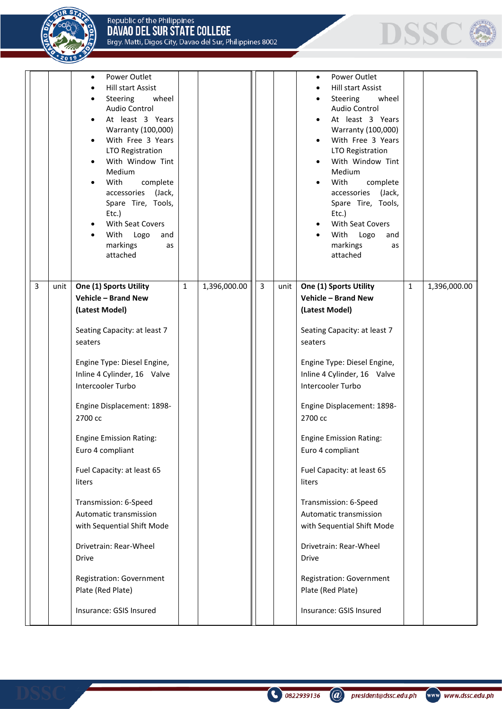Republic of the Philippines<br>**DAVAO DEL SUR STATE COLLEGE**<br>Brgy. Matti, Digos City, Davao del Sur, Philippines 8002





|  | Power Outlet<br><b>Hill start Assist</b><br>wheel<br>Steering<br>Audio Control<br>At least 3 Years<br>Warranty (100,000)<br>With Free 3 Years<br><b>LTO Registration</b><br>With Window Tint<br>Medium<br>With<br>complete<br>accessories (Jack,<br>Spare Tire, Tools,<br>Etc.)<br>With Seat Covers<br>With<br>Logo<br>and<br>markings<br>as<br>attached |  |  | Power Outlet<br>Hill start Assist<br>Steering<br>wheel<br><b>Audio Control</b><br>At least 3 Years<br>Warranty (100,000)<br>With Free 3 Years<br>LTO Registration<br>With Window Tint<br>Medium<br>With<br>complete<br>accessories (Jack,<br>Spare Tire, Tools,<br>Etc.)<br>With Seat Covers<br>With<br>Logo<br>and<br>markings<br>as<br>attached |  |
|--|----------------------------------------------------------------------------------------------------------------------------------------------------------------------------------------------------------------------------------------------------------------------------------------------------------------------------------------------------------|--|--|---------------------------------------------------------------------------------------------------------------------------------------------------------------------------------------------------------------------------------------------------------------------------------------------------------------------------------------------------|--|
|  | <b>Vehicle - Brand New</b><br>(Latest Model)<br>Seating Capacity: at least 7<br>seaters<br>Engine Type: Diesel Engine,<br>Inline 4 Cylinder, 16 Valve<br>Intercooler Turbo<br>Engine Displacement: 1898-<br>2700 cc                                                                                                                                      |  |  | <b>Vehicle - Brand New</b><br>(Latest Model)<br>Seating Capacity: at least 7<br>seaters<br>Engine Type: Diesel Engine,<br>Inline 4 Cylinder, 16 Valve<br>Intercooler Turbo<br>Engine Displacement: 1898-<br>2700 cc                                                                                                                               |  |
|  | <b>Engine Emission Rating:</b><br>Euro 4 compliant<br>Fuel Capacity: at least 65<br>liters<br>Transmission: 6-Speed<br>Automatic transmission<br>with Sequential Shift Mode<br>Drivetrain: Rear-Wheel<br><b>Drive</b><br>Registration: Government<br>Plate (Red Plate)<br>Insurance: GSIS Insured                                                        |  |  | <b>Engine Emission Rating:</b><br>Euro 4 compliant<br>Fuel Capacity: at least 65<br>liters<br>Transmission: 6-Speed<br>Automatic transmission<br>with Sequential Shift Mode<br>Drivetrain: Rear-Wheel<br><b>Drive</b><br>Registration: Government<br>Plate (Red Plate)<br>Insurance: GSIS Insured                                                 |  |

0822939136

 $\circledR$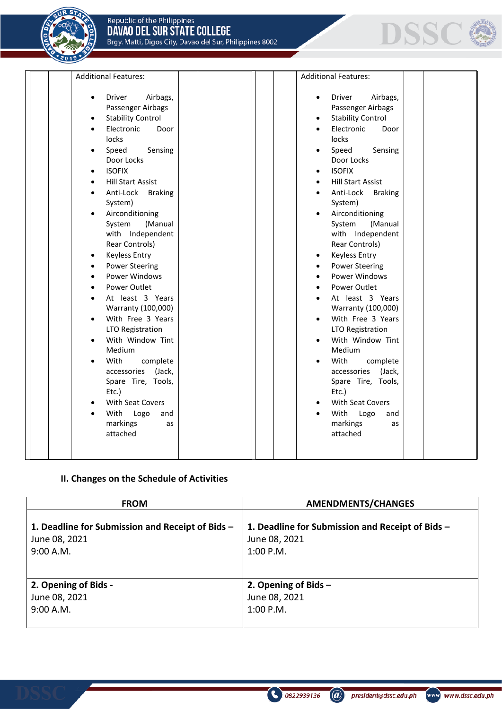



| <b>Additional Features:</b>                                                                                                                                                                                                                                                                                                                                                                                                                                                                                                                                                                                                                                                                      | <b>Additional Features:</b>                                                                                                                                                                                                                                                                                                                                                                                                                                                                                                                                                                                                                                          |  |
|--------------------------------------------------------------------------------------------------------------------------------------------------------------------------------------------------------------------------------------------------------------------------------------------------------------------------------------------------------------------------------------------------------------------------------------------------------------------------------------------------------------------------------------------------------------------------------------------------------------------------------------------------------------------------------------------------|----------------------------------------------------------------------------------------------------------------------------------------------------------------------------------------------------------------------------------------------------------------------------------------------------------------------------------------------------------------------------------------------------------------------------------------------------------------------------------------------------------------------------------------------------------------------------------------------------------------------------------------------------------------------|--|
| Driver<br>Airbags,<br>$\bullet$<br>Passenger Airbags<br><b>Stability Control</b><br>$\bullet$<br>Electronic<br>Door<br>locks<br>Speed<br>Sensing<br>Door Locks<br><b>ISOFIX</b><br><b>Hill Start Assist</b><br>Anti-Lock<br><b>Braking</b><br>System)<br>Airconditioning<br>System<br>(Manual<br>with Independent<br>Rear Controls)<br><b>Keyless Entry</b><br>٠<br><b>Power Steering</b><br>Power Windows<br>Power Outlet<br>At least 3 Years<br>Warranty (100,000)<br>With Free 3 Years<br>LTO Registration<br>With Window Tint<br>Medium<br>With<br>complete<br>accessories<br>(Jack,<br>Spare Tire, Tools,<br>Etc.)<br>With Seat Covers<br>With<br>Logo<br>and<br>markings<br>as<br>attached | Driver<br>Airbags,<br>$\bullet$<br>Passenger Airbags<br><b>Stability Control</b><br>Electronic<br>Door<br>locks<br>Sensing<br>Speed<br>Door Locks<br><b>ISOFIX</b><br><b>Hill Start Assist</b><br>Anti-Lock Braking<br>System)<br>Airconditioning<br>System<br>(Manual<br>with Independent<br>Rear Controls)<br><b>Keyless Entry</b><br><b>Power Steering</b><br>Power Windows<br>Power Outlet<br>At least 3 Years<br>Warranty (100,000)<br>With Free 3 Years<br>LTO Registration<br>With Window Tint<br>Medium<br>With<br>complete<br>accessories<br>(Jack,<br>Spare Tire, Tools,<br>Etc.)<br>With Seat Covers<br>With<br>Logo<br>and<br>markings<br>as<br>attached |  |

## **II. Changes on the Schedule of Activities**

| <b>FROM</b>                                      | <b>AMENDMENTS/CHANGES</b>                        |
|--------------------------------------------------|--------------------------------------------------|
| 1. Deadline for Submission and Receipt of Bids - | 1. Deadline for Submission and Receipt of Bids - |
| June 08, 2021                                    | June 08, 2021                                    |
| 9:00 A.M.                                        | $1:00$ P.M.                                      |
| 2. Opening of Bids -                             | 2. Opening of Bids $-$                           |
| June 08, 2021                                    | June 08, 2021                                    |
| 9:00 A.M.                                        | $1:00$ P.M.                                      |